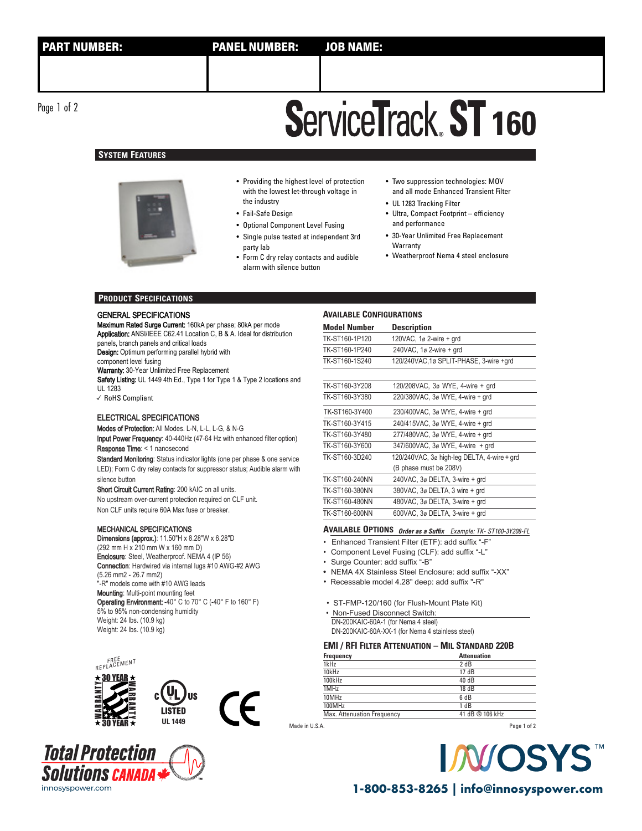Page 1 of 2

# **ServiceTrack ST 160**

## **SYSTEM FEATURES**



- Providing the highest level of protection with the lowest let-through voltage in the industry
- Fail-Safe Design
- Optional Component Level Fusing
- Single pulse tested at independent 3rd
- party lab
- Form C dry relay contacts and audible alarm with silence button
- Two suppression technologies: MOV and all mode Enhanced Transient Filter
- UL 1283 Tracking Filter
- Ultra, Compact Footprint efficiency and performance
- 30-Year Unlimited Free Replacement **Warranty**
- Weatherproof Nema 4 steel enclosure

### **PRODUCT SPECIFICATIONS**

### GENERAL SPECIFICATIONS

Maximum Rated Surge Current: 160kA per phase; 80kA per mode Application: ANSI/IEEE C62.41 Location C, B & A. Ideal for distribution panels, branch panels and critical loads Design: Optimum performing parallel hybrid with component level fusing

Warranty: 30-Year Unlimited Free Replacement Safety Listing: UL 1449 4th Ed., Type 1 for Type 1 & Type 2 locations and UL 1283

✓ RoHS Compliant

### ELECTRICAL SPECIFICATIONS

Modes of Protection: All Modes. L-N, L-L, L-G, & N-G

Input Power Frequency: 40-440Hz (47-64 Hz with enhanced filter option) Response Time: < 1 nanosecond

Standard Monitoring: Status indicator lights (one per phase & one service LED); Form C dry relay contacts for suppressor status; Audible alarm with silence button

Short Circuit Current Rating: 200 kAIC on all units. No upstream over-current protection required on CLF unit. Non CLF units require 60A Max fuse or breaker.

### MECHANICAL SPECIFICATIONS

Dimensions (approx.): 11.50"H x 8.28"W x 6.28"D (292 mm H x 210 mm W x 160 mm D) Enclosure: Steel, Weatherproof. NEMA 4 (IP 56) Connection: Hardwired via internal lugs #10 AWG-#2 AWG (5.26 mm2 - 26.7 mm2) "-R" models come with #10 AWG leads Mounting: Multi-point mounting feet Operating Environment: -40° C to 70° C (-40° F to 160° F) 5% to 95% non-condensing humidity Weight: 24 lbs. (10.9 kg) Weight: 24 lbs. (10.9 kg)





### **AVAILABLE CONFIGURATIONS**

| <b>Model Number</b> | <b>Description</b>                          |  |
|---------------------|---------------------------------------------|--|
| TK-ST160-1P120      | 120VAC, 1ø 2-wire + grd                     |  |
| TK-ST160-1P240      | 240 VAC, $1\sigma$ 2-wire $+$ grd           |  |
| TK-ST160-1S240      | 120/240VAC,1ø SPLIT-PHASE, 3-wire +qrd      |  |
|                     |                                             |  |
| TK-ST160-3Y208      | 120/208VAC, 3ø WYE, 4-wire + grd            |  |
| TK-ST160-3Y380      | 220/380VAC, 3ø WYE, 4-wire + grd            |  |
| TK-ST160-3Y400      | 230/400VAC, 3ø WYE, 4-wire + grd            |  |
| TK-ST160-3Y415      | 240/415VAC, 3ø WYE, 4-wire + grd            |  |
| TK-ST160-3Y480      | 277/480VAC, 3ø WYE, 4-wire + grd            |  |
| TK-ST160-3Y600      | 347/600VAC, 3ø WYE, 4-wire + grd            |  |
| TK-ST160-3D240      | 120/240VAC, 3ø high-leg DELTA, 4-wire + grd |  |
|                     | (B phase must be 208V)                      |  |
| TK-ST160-240NN      | 240VAC, 3ø DELTA, 3-wire + grd              |  |
| TK-ST160-380NN      | 380VAC, 3ø DELTA, 3 wire + grd              |  |
| TK-ST160-480NN      | 480VAC, 3ø DELTA, 3-wire + grd              |  |
| TK-ST160-600NN      | 600VAC, 3ø DELTA, 3-wire + grd              |  |

# **AVAILABLE OPTIONS Order as a Suffix** Example: TK- ST160-3Y208-FL

- Enhanced Transient Filter (ETF): add suffix "-F"
- Component Level Fusing (CLF): add suffix "-L"
- Surge Counter: add suffix "-B"
- NEMA 4X Stainless Steel Enclosure: add suffix "-XX"
- Recessable model 4.28" deep: add suffix "-R"

• ST-FMP-120/160 (for Flush-Mount Plate Kit)

DN-200KAIC-60A-1 (for Nema 4 steel) DN-200KAIC-60A-XX-1 (for Nema 4 stainless steel) • Non-Fused Disconnect Switch:

### **EMI / RFI FILTER ATTENUATION – MIL STANDARD 220B**

| Frequency                  | <b>Attenuation</b> |
|----------------------------|--------------------|
| 1kHz                       | 2 dB               |
| 10kHz                      | 17dB               |
| 100kHz                     | 40 dB              |
| 1MHz                       | 18 dB              |
| 10MHz                      | 6 dB               |
| 100MHz                     | 1 dB               |
| Max. Attenuation Frequency | 41 dB @ 106 kHz    |
|                            |                    |

Made in U.S.A.

Page 1 of 2



innosyspower.com **1-800-853-8265 | info@innosyspower.com**